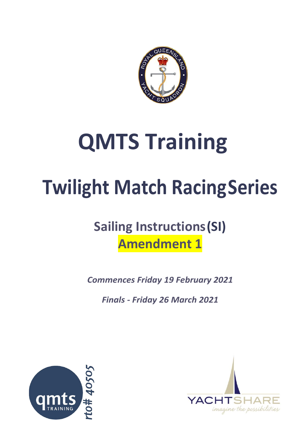

# **QMTS Training**

# **Twilight Match RacingSeries**

## **Sailing Instructions(SI) Amendment 1**

*Commences Friday 19 February 2021*

*Finals - Friday 26 March 2021*



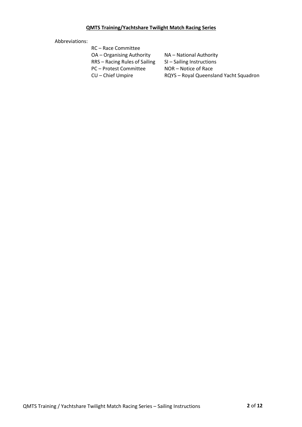#### **QMTS Training/Yachtshare Twilight Match Racing Series**

#### Abbreviations:

| RC – Race Committee           |                                        |
|-------------------------------|----------------------------------------|
| OA – Organising Authority     | NA – National Authority                |
| RRS - Racing Rules of Sailing | SI-Sailing Instructions                |
| PC – Protest Committee        | NOR – Notice of Race                   |
| CU – Chief Umpire             | RQYS - Royal Queensland Yacht Squadron |
|                               |                                        |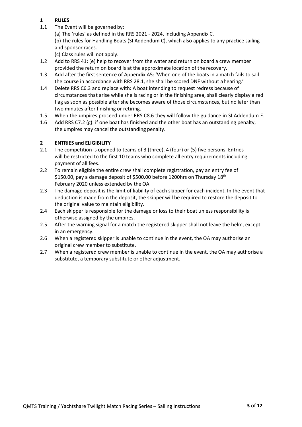#### **1 RULES**

- 1.1 The Event will be governed by:
	- (a) The 'rules' as defined in the RRS 2021 2024, including Appendix C.

(b) The rules for Handling Boats (SI Addendum C), which also applies to any practice sailing and sponsor races.

(c) Class rules will not apply.

- 1.2 Add to RRS 41: (e) help to recover from the water and return on board a crew member provided the return on board is at the approximate location of the recovery.
- 1.3 Add after the first sentence of Appendix A5: 'When one of the boats in a match fails to sail the course in accordance with RRS 28.1, she shall be scored DNF without ahearing.'
- 1.4 Delete RRS C6.3 and replace with: A boat intending to request redress because of circumstances that arise while she is racing or in the finishing area, shall clearly display a red flag as soon as possible after she becomes aware of those circumstances, but no later than two minutes after finishing or retiring.
- 1.5 When the umpires proceed under RRS C8.6 they will follow the guidance in SI Addendum E.
- 1.6 Add RRS C7.2 (g): if one boat has finished and the other boat has an outstanding penalty, the umpires may cancel the outstanding penalty.

#### **2 ENTRIES and ELIGIBILITY**

- 2.1 The competition is opened to teams of 3 (three), 4 (four) or (5) five persons. Entries will be restricted to the first 10 teams who complete all entry requirements including payment of all fees.
- 2.2 To remain eligible the entire crew shall complete registration, pay an entry fee of \$150.00, pay a damage deposit of \$500.00 before 1200hrs on Thursday 18<sup>th</sup> February 2020 unless extended by the OA.
- 2.3 The damage deposit is the limit of liability of each skipper for each incident. In the event that deduction is made from the deposit, the skipper will be required to restore the deposit to the original value to maintain eligibility.
- 2.4 Each skipper is responsible for the damage or loss to their boat unless responsibility is otherwise assigned by the umpires.
- 2.5 After the warning signal for a match the registered skipper shall not leave the helm, except in an emergency.
- 2.6 When a registered skipper is unable to continue in the event, the OA may authorise an original crew member to substitute.
- 2.7 When a registered crew member is unable to continue in the event, the OA may authorise a substitute, a temporary substitute or other adjustment.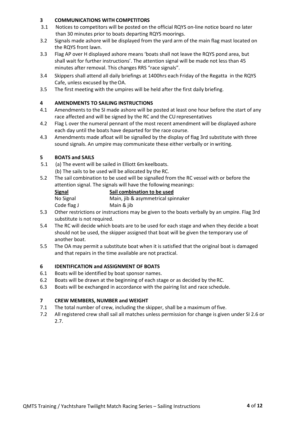#### **3 COMMUNICATIONS WITH COMPETITORS**

- 3.1 Notices to competitors will be posted on the official RQYS on-line notice board no later than 30 minutes prior to boats departing RQYS moorings.
- 3.2 Signals made ashore will be displayed from the yard arm of the main flag mast located on the RQYS front lawn.
- 3.3 Flag AP over H displayed ashore means 'boats shall not leave the RQYS pond area, but shall wait for further instructions'. The attention signal will be made not less than 45 minutes after removal. This changes RRS "race signals".
- 3.4 Skippers shall attend all daily briefings at 1400hrs each Friday of the Regatta in the RQYS Cafe, unless excused by theOA.
- 3.5 The first meeting with the umpires will be held after the first daily briefing.

#### **4 AMENDMENTS TO SAILING INSTRUCTIONS**

- 4.1 Amendments to the SI made ashore will be posted at least one hour before the start of any race affected and will be signed by the RC and the CUrepresentatives
- 4.2 Flag L over the numeral pennant of the most recent amendment will be displayed ashore each day until the boats have departed for the race course.
- 4.3 Amendments made afloat will be signalled by the display of flag 3rd substitute with three sound signals. An umpire may communicate these either verbally or in writing.

#### **5 BOATS and SAILS**

- 5.1 (a) The event will be sailed in Elliott 6mkeelboats.
	- (b) The sails to be used will be allocated by the RC.
- 5.2 The sail combination to be used will be signalled from the RC vessel with or before the attention signal. The signals will have the following meanings:

| <b>Signal</b> | Sail combination to be used                                                            |
|---------------|----------------------------------------------------------------------------------------|
| No Signal     | Main, jib & asymmetrical spinnaker                                                     |
| Code flag J   | Main & jib                                                                             |
|               | Arthur and the start and article and articles are all the starts of the first than the |

- 5.3 Other restrictions or instructions may be given to the boats verbally by an umpire. Flag 3rd substitute is not required.
- 5.4 The RC will decide which boats are to be used for each stage and when they decide a boat should not be used, the skipper assigned that boat will be given the temporary use of another boat.
- 5.5 The OA may permit a substitute boat when it is satisfied that the original boat is damaged and that repairs in the time available are not practical.

#### **6 IDENTIFICATION and ASSIGNMENT OF BOATS**

- 6.1 Boats will be identified by boat sponsor names.
- 6.2 Boats will be drawn at the beginning of each stage or as decided by the RC.
- 6.3 Boats will be exchanged in accordance with the pairing list and race schedule.

#### **7 CREW MEMBERS, NUMBER and WEIGHT**

- 7.1 The total number of crew, including the skipper, shall be a maximum of five.
- 7.2 All registered crew shall sail all matches unless permission for change is given under SI 2.6 or 2.7.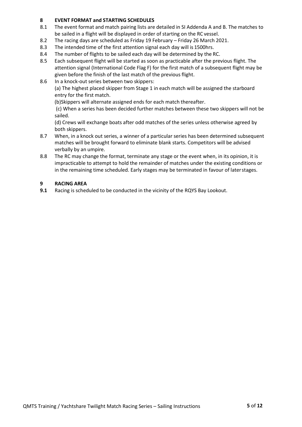#### **8 EVENT FORMAT and STARTING SCHEDULES**

- 8.1 The event format and match pairing lists are detailed in SI Addenda A and B. The matches to be sailed in a flight will be displayed in order of starting on the RC vessel.
- 8.2 The racing days are scheduled as Friday 19 February Friday 26 March 2021.
- 8.3 The intended time of the first attention signal each day will is 1500hrs.
- 8.4 The number of flights to be sailed each day will be determined by the RC.
- 8.5 Each subsequent flight will be started as soon as practicable after the previous flight. The attention signal (International Code Flag F) for the first match of a subsequent flight may be given before the finish of the last match of the previous flight.
- 8.6 In a knock-out series between two skippers:

(a) The highest placed skipper from Stage 1 in each match will be assigned the starboard entry for the first match.

(b)Skippers will alternate assigned ends for each match thereafter.

(c) When a series has been decided further matches between these two skippers will not be sailed.

(d) Crews will exchange boats after odd matches of the series unless otherwise agreed by both skippers.

- 8.7 When, in a knock out series, a winner of a particular series has been determined subsequent matches will be brought forward to eliminate blank starts. Competitors will be advised verbally by an umpire.
- 8.8 The RC may change the format, terminate any stage or the event when, in its opinion, it is impracticable to attempt to hold the remainder of matches under the existing conditions or in the remaining time scheduled. Early stages may be terminated in favour of laterstages.

#### **9 RACING AREA**

**9.1** Racing is scheduled to be conducted in the vicinity of the RQYS Bay Lookout.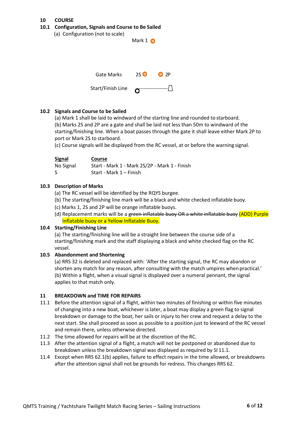#### **10 COURSE**

#### **10.1 Configuration, Signals and Course to Be Sailed**

| (a) Configuration (not to scale) | Mark $1$ $\bullet$ |               |
|----------------------------------|--------------------|---------------|
|                                  |                    |               |
| <b>Gate Marks</b>                | 25 <sup>o</sup>    | O2P           |
| Start/Finish Line                |                    | ------------- |

#### **10.2 Signals and Course to be Sailed**

(a) Mark 1 shall be laid to windward of the starting line and rounded to starboard. (b) Marks 2S and 2P are a gate and shall be laid not less than 50m to windward of the starting/finishing line. When a boat passes through the gate it shall leave either Mark 2P to port or Mark 2S to starboard.

(c) Course signals will be displayed from the RC vessel, at or before the warning signal.

| <b>Signal</b> | <b>Course</b>                                 |
|---------------|-----------------------------------------------|
| No Signal     | Start - Mark 1 - Mark 2S/2P - Mark 1 - Finish |
| S             | Start - Mark 1 – Finish                       |

#### **10.3 Description of Marks**

(a) The RC vessel will be identified by the RQYS burgee.

- (b) The starting/finishing line mark will be a black and white checked inflatable buoy.
- (c) Marks 1, 2S and 2P will be orange inflatable buoys.
- (d) Replacement marks will be a green inflatable buoy OR a white inflatable buoy (ADD) Purple Inflatable buoy or a Yellow Inflatable Buoy.

#### **10.4 Starting/Finishing Line**

(a) The starting/finishing line will be a straight line between the course side of a starting/finishing mark and the staff displaying a black and white checked flag on the RC vessel.

#### **10.5 Abandonment and Shortening**

(a) RRS 32 is deleted and replaced with: 'After the starting signal, the RC may abandon or shorten any match for any reason, after consulting with the match umpires when practical.' (b) Within a flight, when a visual signal is displayed over a numeral pennant, the signal applies to that match only.

#### **11 BREAKDOWN and TIME FOR REPAIRS**

- 11.1 Before the attention signal of a flight, within two minutes of finishing or within five minutes of changing into a new boat, whichever is later, a boat may display a green flag to signal breakdown or damage to the boat, her sails or injury to her crew and request a delay to the next start. She shall proceed as soon as possible to a position just to leeward of the RC vessel and remain there, unless otherwise directed.
- 11.2 The time allowed for repairs will be at the discretion of the RC.
- 11.3 After the attention signal of a flight, a match will not be postponed or abandoned due to breakdown unless the breakdown signal was displayed as required by SI 11.1.
- 11.4 Except when RRS 62.1(b) applies, failure to effect repairs in the time allowed, or breakdowns after the attention signal shall not be grounds for redress. This changes RRS 62.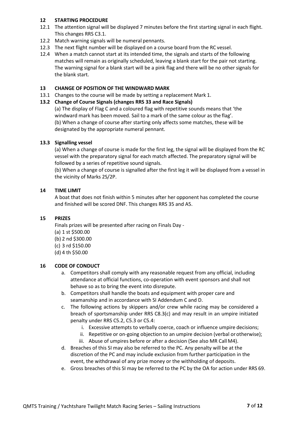#### **12 STARTING PROCEDURE**

- 12.1 The attention signal will be displayed 7 minutes before the first starting signal in each flight. This changes RRS C3.1.
- 12.2 Match warning signals will be numeral pennants.
- 12.3 The next flight number will be displayed on a course board from the RC vessel.
- 12.4 When a match cannot start at its intended time, the signals and starts of the following matches will remain as originally scheduled, leaving a blank start for the pair not starting. The warning signal for a blank start will be a pink flag and there will be no other signals for the blank start.

#### **13 CHANGE OF POSITION OF THE WINDWARD MARK**

13.1 Changes to the course will be made by setting a replacement Mark 1.

#### **13.2 Change of Course Signals (changes RRS 33 and Race Signals)**

(a) The display of Flag C and a coloured flag with repetitive sounds means that 'the windward mark has been moved. Sail to a mark of the same colour as the flag'. (b) When a change of course after starting only affects some matches, these will be designated by the appropriate numeral pennant.

#### **13.3 Signalling vessel**

(a) When a change of course is made for the first leg, the signal will be displayed from the RC vessel with the preparatory signal for each match affected. The preparatory signal will be followed by a series of repetitive sound signals.

(b) When a change of course is signalled after the first leg it will be displayed from a vessel in the vicinity of Marks 2S/2P.

#### **14 TIME LIMIT**

A boat that does not finish within 5 minutes after her opponent has completed the course and finished will be scored DNF. This changes RRS 35 and A5.

#### **15 PRIZES**

Finals prizes will be presented after racing on Finals Day - (a) 1 st \$500.00 (b) 2 nd \$300.00 (c) 3 rd \$150.00 (d) 4 th \$50.00

#### **16 CODE OF CONDUCT**

- a. Competitors shall comply with any reasonable request from any official, including attendance at official functions, co-operation with event sponsors and shall not behave so as to bring the event into disrepute.
- b. Competitors shall handle the boats and equipment with proper care and seamanship and in accordance with SI Addendum C and D.
- c. The following actions by skippers and/or crew while racing may be considered a breach of sportsmanship under RRS C8.3(c) and may result in an umpire initiated penalty under RRS C5.2, C5.3 or C5.4:
	- i. Excessive attempts to verbally coerce, coach or influence umpire decisions;
	- ii. Repetitive or on-going objection to an umpire decision (verbal orotherwise);
	- iii. Abuse of umpires before or after a decision (See also MR Call M4).
- d. Breaches of this SI may also be referred to the PC. Any penalty will be at the discretion of the PC and may include exclusion from further participation in the event, the withdrawal of any prize money or the withholding of deposits.
- e. Gross breaches of this SI may be referred to the PC by the OA for action under RRS 69.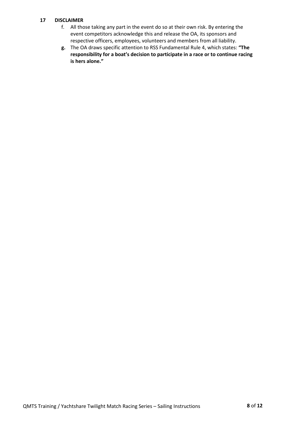#### **17 DISCLAIMER**

- f. All those taking any part in the event do so at their own risk. By entering the event competitors acknowledge this and release the OA, its sponsors and respective officers, employees, volunteers and members from all liability.
- **g.** The OA draws specific attention to RSS Fundamental Rule 4, which states: **"The responsibility for a boat's decision to participate in a race or to continue racing is hers alone."**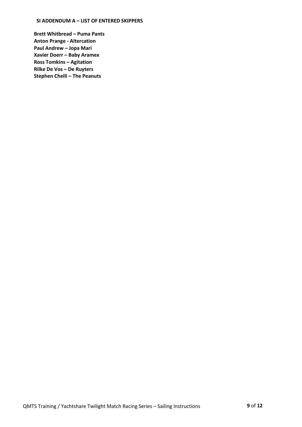#### **SI ADDENDUM A – LIST OF ENTERED SKIPPERS**

**Brett Whitbread – Puma Pants Anton Prange - Altercation Paul Andrew – Jopa Mari Xavier Doerr – Baby Aramex Ross Tomkins – Agitation Rilke De Vos – De Ruyters Stephen Chelli – The Peanuts**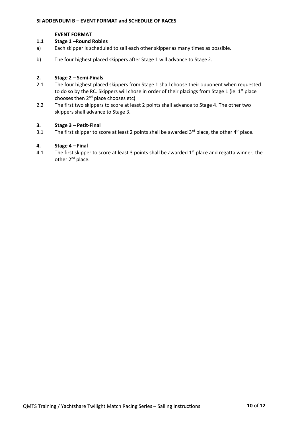#### **EVENT FORMAT**

### **1.1 Stage 1 –Round Robins**<br>a) **Each skipper is schedule**

- Each skipper is scheduled to sail each other skipper as many times as possible.
- b) The four highest placed skippers after Stage 1 will advance to Stage 2.

#### **2. Stage 2 – Semi-Finals**

- 2.1 The four highest placed skippers from Stage 1 shall choose their opponent when requested to do so by the RC. Skippers will chose in order of their placings from Stage 1 (ie. 1<sup>st</sup> place chooses then 2<sup>nd</sup> place chooses etc).
- 2.2 The first two skippers to score at least 2 points shall advance to Stage 4. The other two skippers shall advance to Stage 3.

### **3. Stage 3 – Petit-Final**

The first skipper to score at least 2 points shall be awarded  $3<sup>rd</sup>$  place, the other  $4<sup>th</sup>$  place.

#### **4. Stage 4 – Final**

4.1 The first skipper to score at least 3 points shall be awarded  $1<sup>st</sup>$  place and regatta winner, the other 2<sup>nd</sup> place.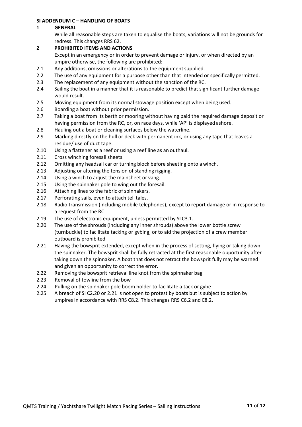#### **SI ADDENDUM C – HANDLING OF BOATS**

#### **1 GENERAL**

While all reasonable steps are taken to equalise the boats, variations will not be grounds for redress. This changes RRS 62.

#### **2 PROHIBITED ITEMS AND ACTIONS**

Except in an emergency or in order to prevent damage or injury, or when directed by an umpire otherwise, the following are prohibited:

- 2.1 Any additions, omissions or alterations to the equipment supplied.
- 2.2 The use of any equipment for a purpose other than that intended or specifically permitted.
- 2.3 The replacement of any equipment without the sanction of the RC.
- 2.4 Sailing the boat in a manner that it is reasonable to predict that significant further damage would result.
- 2.5 Moving equipment from its normal stowage position except when being used.
- 2.6 Boarding a boat without prior permission.
- 2.7 Taking a boat from its berth or mooring without having paid the required damage deposit or having permission from the RC, or, on race days, while 'AP' is displayed ashore.
- 2.8 Hauling out a boat or cleaning surfaces below the waterline.
- 2.9 Marking directly on the hull or deck with permanent ink, or using any tape that leaves a residue/ use of duct tape.
- 2.10 Using a flattener as a reef or using a reef line as an outhaul.
- 2.11 Cross winching foresail sheets.
- 2.12 Omitting any headsail car or turning block before sheeting onto a winch.
- 2.13 Adjusting or altering the tension of standing rigging.
- 2.14 Using a winch to adjust the mainsheet or vang.
- 2.15 Using the spinnaker pole to wing out the foresail.
- 2.16 Attaching lines to the fabric of spinnakers.
- 2.17 Perforating sails, even to attach tell tales.
- 2.18 Radio transmission (including mobile telephones), except to report damage or in response to a request from the RC.
- 2.19 The use of electronic equipment, unless permitted by SI C3.1.
- 2.20 The use of the shrouds (including any inner shrouds) above the lower bottle screw (turnbuckle) to facilitate tacking or gybing, or to aid the projection of a crew member outboard is prohibited
- 2.21 Having the bowsprit extended, except when in the process of setting, flying or taking down the spinnaker. The bowsprit shall be fully retracted at the first reasonable opportunity after taking down the spinnaker. A boat that does not retract the bowsprit fully may be warned and given an opportunity to correct the error.
- 2.22 Removing the bowsprit retrieval line knot from the spinnaker bag
- 2.23 Removal of towline from the bow
- 2.24 Pulling on the spinnaker pole boom holder to facilitate a tack or gybe
- 2.25 A breach of SI C2.20 or 2.21 is not open to protest by boats but is subject to action by umpires in accordance with RRS C8.2. This changes RRS C6.2 and C8.2.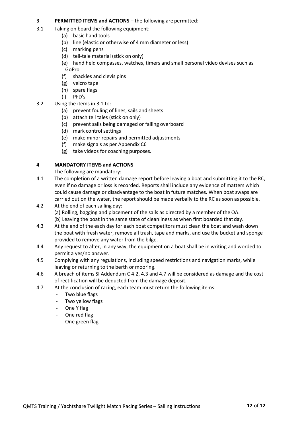#### **3 PERMITTED ITEMS and ACTIONS** – the following are permitted:

- 3.1 Taking on board the following equipment:
	- (a) basic hand tools
	- (b) line (elastic or otherwise of 4 mm diameter or less)
	- (c) marking pens
	- (d) tell-tale material (stick on only)
	- (e) hand held compasses, watches, timers and small personal video devises such as GoPro
	- (f) shackles and clevis pins
	- (g) velcro tape
	- (h) spare flags
	- (i) PFD's
- 3.2 Using the items in 3.1 to:
	- (a) prevent fouling of lines, sails and sheets
	- (b) attach tell tales (stick on only)
	- (c) prevent sails being damaged or falling overboard
	- (d) mark control settings
	- (e) make minor repairs and permitted adjustments
	- (f) make signals as per Appendix C6
	- (g) take videos for coaching purposes.

#### **4 MANDATORY ITEMS and ACTIONS**

The following are mandatory:

- 4.1 The completion of a written damage report before leaving a boat and submitting it to the RC, even if no damage or loss is recorded. Reports shall include any evidence of matters which could cause damage or disadvantage to the boat in future matches. When boat swaps are carried out on the water, the report should be made verbally to the RC as soon as possible.
- 4.2 At the end of each sailing day: (a) Rolling, bagging and placement of the sails as directed by a member of the OA. (b) Leaving the boat in the same state of cleanliness as when first boarded that day.
- 4.3 At the end of the each day for each boat competitors must clean the boat and wash down the boat with fresh water, remove all trash, tape and marks, and use the bucket and sponge provided to remove any water from the bilge.
- 4.4 Any request to alter, in any way, the equipment on a boat shall be in writing and worded to permit a yes/no answer.
- 4.5 Complying with any regulations, including speed restrictions and navigation marks, while leaving or returning to the berth or mooring.
- 4.6 A breach of items SI Addendum C 4.2, 4.3 and 4.7 will be considered as damage and the cost of rectification will be deducted from the damage deposit.
- 4.7 At the conclusion of racing, each team must return the following items:
	- Two blue flags
	- Two yellow flags
	- One Y flag
	- One red flag
	- One green flag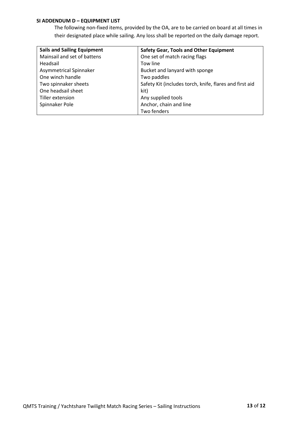#### **SI ADDENDUM D – EQUIPMENT LIST**

The following non-fixed items, provided by the OA, are to be carried on board at all times in their designated place while sailing. Any loss shall be reported on the daily damage report.

| <b>Sails and Sailing Equipment</b> | <b>Safety Gear, Tools and Other Equipment</b>           |
|------------------------------------|---------------------------------------------------------|
| Mainsail and set of battens        | One set of match racing flags                           |
| Headsail                           | Tow line                                                |
| Asymmetrical Spinnaker             | Bucket and lanyard with sponge                          |
| One winch handle                   | Two paddles                                             |
| Two spinnaker sheets               | Safety Kit (includes torch, knife, flares and first aid |
| One headsail sheet                 | kit)                                                    |
| Tiller extension                   | Any supplied tools                                      |
| Spinnaker Pole                     | Anchor, chain and line                                  |
|                                    | Two fenders                                             |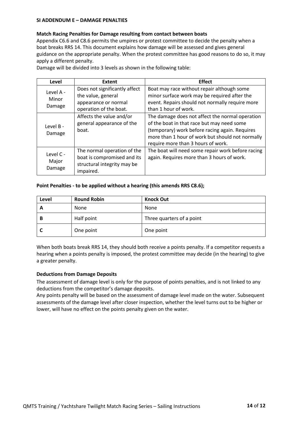#### **SI ADDENDUM E – DAMAGE PENALTIES**

#### **Match Racing Penalties for Damage resulting from contact between boats**

Appendix C6.6 and C8.6 permits the umpires or protest committee to decide the penalty when a boat breaks RRS 14. This document explains how damage will be assessed and gives general guidance on the appropriate penalty. When the protest committee has good reasons to do so, it may apply a different penalty.

Damage will be divided into 3 levels as shown in the following table:

| Level                        | <b>Extent</b>                                                                                          | <b>Effect</b>                                                                                                                                                                                                                             |
|------------------------------|--------------------------------------------------------------------------------------------------------|-------------------------------------------------------------------------------------------------------------------------------------------------------------------------------------------------------------------------------------------|
| Level A -<br>Minor<br>Damage | Does not significantly affect<br>the value, general<br>appearance or normal<br>operation of the boat.  | Boat may race without repair although some<br>minor surface work may be required after the<br>event. Repairs should not normally require more<br>than 1 hour of work.                                                                     |
| Level B -<br>Damage          | Affects the value and/or<br>general appearance of the<br>boat.                                         | The damage does not affect the normal operation<br>of the boat in that race but may need some<br>(temporary) work before racing again. Requires<br>more than 1 hour of work but should not normally<br>require more than 3 hours of work. |
| Level C -<br>Major<br>Damage | The normal operation of the<br>boat is compromised and its<br>structural integrity may be<br>impaired. | The boat will need some repair work before racing<br>again. Requires more than 3 hours of work.                                                                                                                                           |

#### **Point Penalties - to be applied without a hearing (this amends RRS C8.6);**

| Level | <b>Round Robin</b> | <b>Knock Out</b>          |
|-------|--------------------|---------------------------|
| A     | None               | None                      |
| В     | Half point         | Three quarters of a point |
|       | One point          | One point                 |

When both boats break RRS 14, they should both receive a points penalty. If a competitor requests a hearing when a points penalty is imposed, the protest committee may decide (in the hearing) to give a greater penalty.

#### **Deductions from Damage Deposits**

The assessment of damage level is only for the purpose of points penalties, and is not linked to any deductions from the competitor's damage deposits.

Any points penalty will be based on the assessment of damage level made on the water. Subsequent assessments of the damage level after closer inspection, whether the level turns out to be higher or lower, will have no effect on the points penalty given on the water.